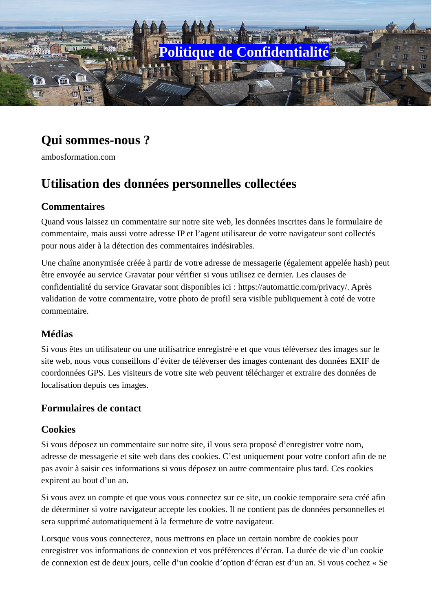

# **Qui sommes-nous ?**

ambosformation.com

# **Utilisation des données personnelles collectées**

## **Commentaires**

Quand vous laissez un commentaire sur notre site web, les données inscrites dans le formulaire de commentaire, mais aussi votre adresse IP et l'agent utilisateur de votre navigateur sont collectés pour nous aider à la détection des commentaires indésirables.

Une chaîne anonymisée créée à partir de votre adresse de messagerie (également appelée hash) peut être envoyée au service Gravatar pour vérifier si vous utilisez ce dernier. Les clauses de confidentialité du service Gravatar sont disponibles ici : https://automattic.com/privacy/. Après validation de votre commentaire, votre photo de profil sera visible publiquement à coté de votre commentaire.

# **Médias**

Si vous êtes un utilisateur ou une utilisatrice enregistré·e et que vous téléversez des images sur le site web, nous vous conseillons d'éviter de téléverser des images contenant des données EXIF de coordonnées GPS. Les visiteurs de votre site web peuvent télécharger et extraire des données de localisation depuis ces images.

## **Formulaires de contact**

## **Cookies**

Si vous déposez un commentaire sur notre site, il vous sera proposé d'enregistrer votre nom, adresse de messagerie et site web dans des cookies. C'est uniquement pour votre confort afin de ne pas avoir à saisir ces informations si vous déposez un autre commentaire plus tard. Ces cookies expirent au bout d'un an.

Si vous avez un compte et que vous vous connectez sur ce site, un cookie temporaire sera créé afin de déterminer si votre navigateur accepte les cookies. Il ne contient pas de données personnelles et sera supprimé automatiquement à la fermeture de votre navigateur.

Lorsque vous vous connecterez, nous mettrons en place un certain nombre de cookies pour enregistrer vos informations de connexion et vos préférences d'écran. La durée de vie d'un cookie de connexion est de deux jours, celle d'un cookie d'option d'écran est d'un an. Si vous cochez « Se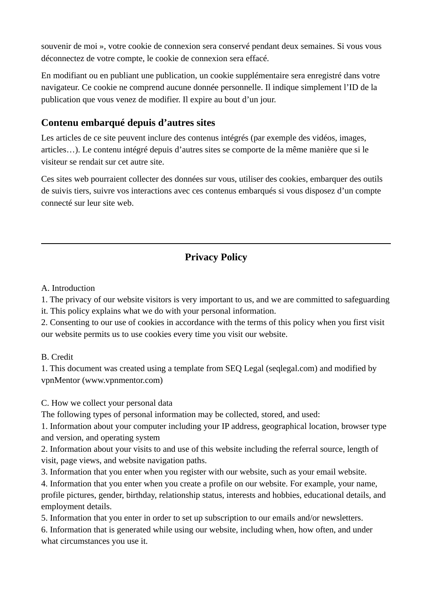souvenir de moi », votre cookie de connexion sera conservé pendant deux semaines. Si vous vous déconnectez de votre compte, le cookie de connexion sera effacé.

En modifiant ou en publiant une publication, un cookie supplémentaire sera enregistré dans votre navigateur. Ce cookie ne comprend aucune donnée personnelle. Il indique simplement l'ID de la publication que vous venez de modifier. Il expire au bout d'un jour.

# **Contenu embarqué depuis d'autres sites**

Les articles de ce site peuvent inclure des contenus intégrés (par exemple des vidéos, images, articles…). Le contenu intégré depuis d'autres sites se comporte de la même manière que si le visiteur se rendait sur cet autre site.

Ces sites web pourraient collecter des données sur vous, utiliser des cookies, embarquer des outils de suivis tiers, suivre vos interactions avec ces contenus embarqués si vous disposez d'un compte connecté sur leur site web.

# **Privacy Policy**

A. Introduction

1. The privacy of our website visitors is very important to us, and we are committed to safeguarding

it. This policy explains what we do with your personal information.

2. Consenting to our use of cookies in accordance with the terms of this policy when you first visit our website permits us to use cookies every time you visit our website.

#### B. Credit

1. This document was created using a template from SEQ Legal (seqlegal.com) and modified by vpnMentor (www.vpnmentor.com)

C. How we collect your personal data

The following types of personal information may be collected, stored, and used:

1. Information about your computer including your IP address, geographical location, browser type and version, and operating system

2. Information about your visits to and use of this website including the referral source, length of visit, page views, and website navigation paths.

3. Information that you enter when you register with our website, such as your email website.

4. Information that you enter when you create a profile on our website. For example, your name, profile pictures, gender, birthday, relationship status, interests and hobbies, educational details, and employment details.

5. Information that you enter in order to set up subscription to our emails and/or newsletters.

6. Information that is generated while using our website, including when, how often, and under what circumstances you use it.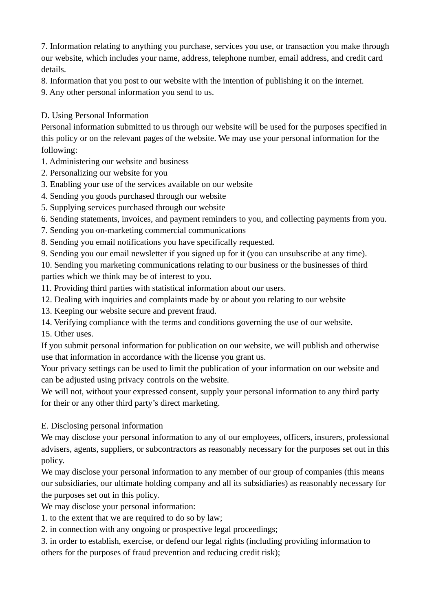7. Information relating to anything you purchase, services you use, or transaction you make through our website, which includes your name, address, telephone number, email address, and credit card details.

8. Information that you post to our website with the intention of publishing it on the internet.

9. Any other personal information you send to us.

#### D. Using Personal Information

Personal information submitted to us through our website will be used for the purposes specified in this policy or on the relevant pages of the website. We may use your personal information for the following:

- 1. Administering our website and business
- 2. Personalizing our website for you
- 3. Enabling your use of the services available on our website
- 4. Sending you goods purchased through our website
- 5. Supplying services purchased through our website
- 6. Sending statements, invoices, and payment reminders to you, and collecting payments from you.
- 7. Sending you on-marketing commercial communications
- 8. Sending you email notifications you have specifically requested.
- 9. Sending you our email newsletter if you signed up for it (you can unsubscribe at any time).

10. Sending you marketing communications relating to our business or the businesses of third parties which we think may be of interest to you.

- 11. Providing third parties with statistical information about our users.
- 12. Dealing with inquiries and complaints made by or about you relating to our website
- 13. Keeping our website secure and prevent fraud.
- 14. Verifying compliance with the terms and conditions governing the use of our website.

15. Other uses.

If you submit personal information for publication on our website, we will publish and otherwise use that information in accordance with the license you grant us.

Your privacy settings can be used to limit the publication of your information on our website and can be adjusted using privacy controls on the website.

We will not, without your expressed consent, supply your personal information to any third party for their or any other third party's direct marketing.

E. Disclosing personal information

We may disclose your personal information to any of our employees, officers, insurers, professional advisers, agents, suppliers, or subcontractors as reasonably necessary for the purposes set out in this policy.

We may disclose your personal information to any member of our group of companies (this means our subsidiaries, our ultimate holding company and all its subsidiaries) as reasonably necessary for the purposes set out in this policy.

We may disclose your personal information:

1. to the extent that we are required to do so by law;

2. in connection with any ongoing or prospective legal proceedings;

3. in order to establish, exercise, or defend our legal rights (including providing information to others for the purposes of fraud prevention and reducing credit risk);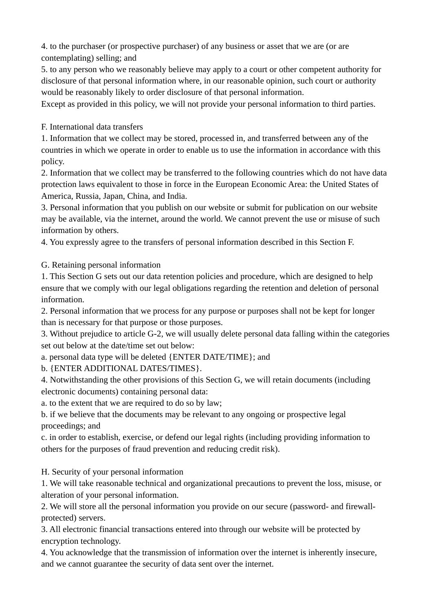4. to the purchaser (or prospective purchaser) of any business or asset that we are (or are contemplating) selling; and

5. to any person who we reasonably believe may apply to a court or other competent authority for disclosure of that personal information where, in our reasonable opinion, such court or authority would be reasonably likely to order disclosure of that personal information.

Except as provided in this policy, we will not provide your personal information to third parties.

F. International data transfers

1. Information that we collect may be stored, processed in, and transferred between any of the countries in which we operate in order to enable us to use the information in accordance with this policy.

2. Information that we collect may be transferred to the following countries which do not have data protection laws equivalent to those in force in the European Economic Area: the United States of America, Russia, Japan, China, and India.

3. Personal information that you publish on our website or submit for publication on our website may be available, via the internet, around the world. We cannot prevent the use or misuse of such information by others.

4. You expressly agree to the transfers of personal information described in this Section F.

G. Retaining personal information

1. This Section G sets out our data retention policies and procedure, which are designed to help ensure that we comply with our legal obligations regarding the retention and deletion of personal information.

2. Personal information that we process for any purpose or purposes shall not be kept for longer than is necessary for that purpose or those purposes.

3. Without prejudice to article G-2, we will usually delete personal data falling within the categories set out below at the date/time set out below:

a. personal data type will be deleted {ENTER DATE/TIME}; and

b. {ENTER ADDITIONAL DATES/TIMES}.

4. Notwithstanding the other provisions of this Section G, we will retain documents (including electronic documents) containing personal data:

a. to the extent that we are required to do so by law;

b. if we believe that the documents may be relevant to any ongoing or prospective legal proceedings; and

c. in order to establish, exercise, or defend our legal rights (including providing information to others for the purposes of fraud prevention and reducing credit risk).

H. Security of your personal information

1. We will take reasonable technical and organizational precautions to prevent the loss, misuse, or alteration of your personal information.

2. We will store all the personal information you provide on our secure (password- and firewallprotected) servers.

3. All electronic financial transactions entered into through our website will be protected by encryption technology.

4. You acknowledge that the transmission of information over the internet is inherently insecure, and we cannot guarantee the security of data sent over the internet.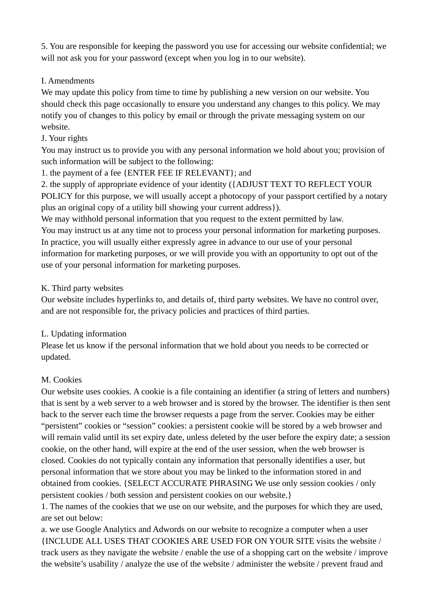5. You are responsible for keeping the password you use for accessing our website confidential; we will not ask you for your password (except when you log in to our website).

#### I. Amendments

We may update this policy from time to time by publishing a new version on our website. You should check this page occasionally to ensure you understand any changes to this policy. We may notify you of changes to this policy by email or through the private messaging system on our website.

### J. Your rights

You may instruct us to provide you with any personal information we hold about you; provision of such information will be subject to the following:

1. the payment of a fee {ENTER FEE IF RELEVANT}; and

2. the supply of appropriate evidence of your identity ({ADJUST TEXT TO REFLECT YOUR POLICY for this purpose, we will usually accept a photocopy of your passport certified by a notary plus an original copy of a utility bill showing your current address}).

We may withhold personal information that you request to the extent permitted by law. You may instruct us at any time not to process your personal information for marketing purposes. In practice, you will usually either expressly agree in advance to our use of your personal information for marketing purposes, or we will provide you with an opportunity to opt out of the use of your personal information for marketing purposes.

## K. Third party websites

Our website includes hyperlinks to, and details of, third party websites. We have no control over, and are not responsible for, the privacy policies and practices of third parties.

## L. Updating information

Please let us know if the personal information that we hold about you needs to be corrected or updated.

# M. Cookies

Our website uses cookies. A cookie is a file containing an identifier (a string of letters and numbers) that is sent by a web server to a web browser and is stored by the browser. The identifier is then sent back to the server each time the browser requests a page from the server. Cookies may be either "persistent" cookies or "session" cookies: a persistent cookie will be stored by a web browser and will remain valid until its set expiry date, unless deleted by the user before the expiry date; a session cookie, on the other hand, will expire at the end of the user session, when the web browser is closed. Cookies do not typically contain any information that personally identifies a user, but personal information that we store about you may be linked to the information stored in and obtained from cookies. {SELECT ACCURATE PHRASING We use only session cookies / only persistent cookies / both session and persistent cookies on our website.}

1. The names of the cookies that we use on our website, and the purposes for which they are used, are set out below:

a. we use Google Analytics and Adwords on our website to recognize a computer when a user {INCLUDE ALL USES THAT COOKIES ARE USED FOR ON YOUR SITE visits the website / track users as they navigate the website / enable the use of a shopping cart on the website / improve the website's usability / analyze the use of the website / administer the website / prevent fraud and